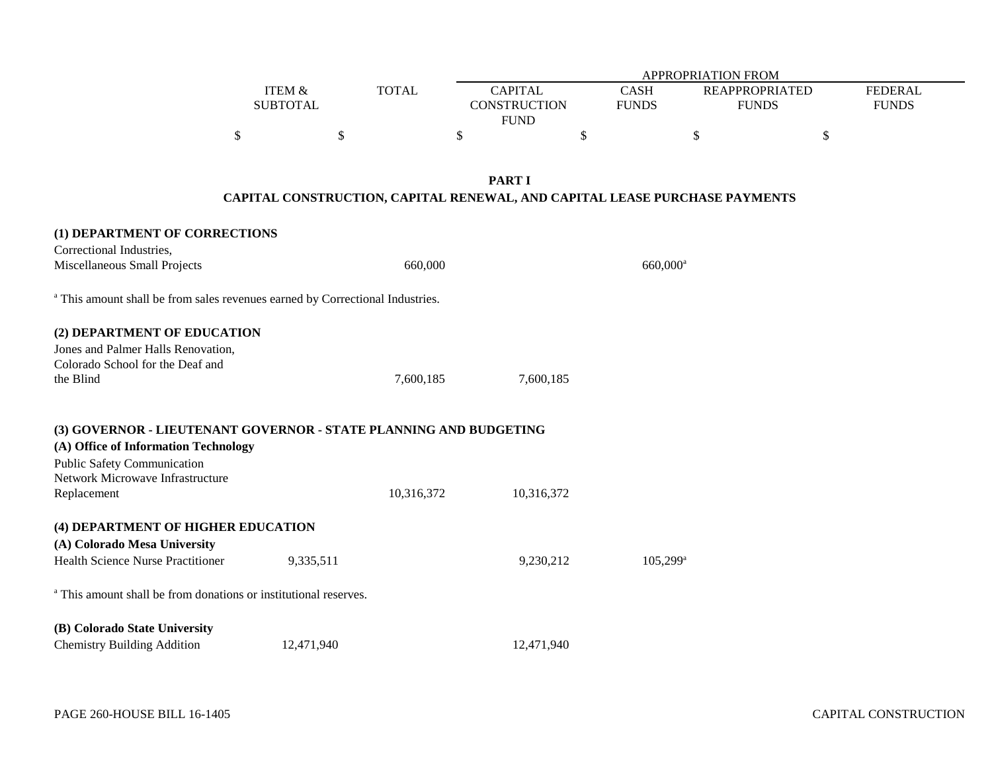|                                                                                          |                 |              |                                                                            | <b>APPROPRIATION FROM</b>    |                       |                |
|------------------------------------------------------------------------------------------|-----------------|--------------|----------------------------------------------------------------------------|------------------------------|-----------------------|----------------|
|                                                                                          | ITEM &          | <b>TOTAL</b> | <b>CAPITAL</b>                                                             | CASH                         | <b>REAPPROPRIATED</b> | <b>FEDERAL</b> |
|                                                                                          | <b>SUBTOTAL</b> |              | <b>CONSTRUCTION</b><br><b>FUND</b>                                         | <b>FUNDS</b><br><b>FUNDS</b> |                       | <b>FUNDS</b>   |
| \$                                                                                       |                 | $\$$         | \$                                                                         | \$<br>\$                     |                       | $\$\,$         |
|                                                                                          |                 |              |                                                                            |                              |                       |                |
|                                                                                          |                 |              | <b>PART I</b>                                                              |                              |                       |                |
|                                                                                          |                 |              | CAPITAL CONSTRUCTION, CAPITAL RENEWAL, AND CAPITAL LEASE PURCHASE PAYMENTS |                              |                       |                |
| (1) DEPARTMENT OF CORRECTIONS                                                            |                 |              |                                                                            |                              |                       |                |
| Correctional Industries,                                                                 |                 |              |                                                                            |                              |                       |                |
| Miscellaneous Small Projects                                                             |                 | 660,000      |                                                                            | 660,000 <sup>a</sup>         |                       |                |
|                                                                                          |                 |              |                                                                            |                              |                       |                |
| <sup>a</sup> This amount shall be from sales revenues earned by Correctional Industries. |                 |              |                                                                            |                              |                       |                |
| (2) DEPARTMENT OF EDUCATION                                                              |                 |              |                                                                            |                              |                       |                |
| Jones and Palmer Halls Renovation,                                                       |                 |              |                                                                            |                              |                       |                |
| Colorado School for the Deaf and                                                         |                 |              |                                                                            |                              |                       |                |
| the Blind                                                                                |                 | 7,600,185    | 7,600,185                                                                  |                              |                       |                |
|                                                                                          |                 |              |                                                                            |                              |                       |                |
| (3) GOVERNOR - LIEUTENANT GOVERNOR - STATE PLANNING AND BUDGETING                        |                 |              |                                                                            |                              |                       |                |
| (A) Office of Information Technology                                                     |                 |              |                                                                            |                              |                       |                |
| <b>Public Safety Communication</b>                                                       |                 |              |                                                                            |                              |                       |                |
| Network Microwave Infrastructure                                                         |                 |              |                                                                            |                              |                       |                |
| Replacement                                                                              |                 | 10,316,372   | 10,316,372                                                                 |                              |                       |                |
| (4) DEPARTMENT OF HIGHER EDUCATION                                                       |                 |              |                                                                            |                              |                       |                |
| (A) Colorado Mesa University                                                             |                 |              |                                                                            |                              |                       |                |
| Health Science Nurse Practitioner                                                        | 9,335,511       |              | 9,230,212                                                                  | $105,299^{\rm a}$            |                       |                |
|                                                                                          |                 |              |                                                                            |                              |                       |                |
| <sup>a</sup> This amount shall be from donations or institutional reserves.              |                 |              |                                                                            |                              |                       |                |
| (B) Colorado State University                                                            |                 |              |                                                                            |                              |                       |                |
| <b>Chemistry Building Addition</b>                                                       | 12,471,940      |              | 12,471,940                                                                 |                              |                       |                |
|                                                                                          |                 |              |                                                                            |                              |                       |                |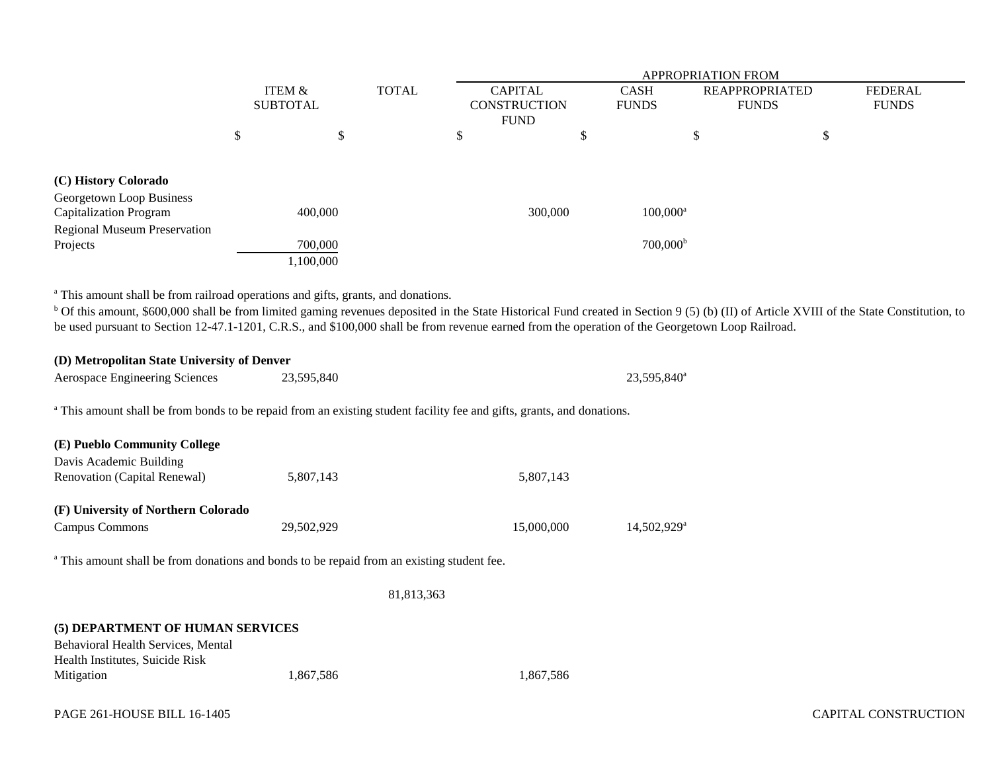|                                                                                                                                                                                                                                                                                                                                                                                                                                                          |                                      |                                 |              | <b>APPROPRIATION FROM</b>                            |    |                                        |                                       |                                |  |  |
|----------------------------------------------------------------------------------------------------------------------------------------------------------------------------------------------------------------------------------------------------------------------------------------------------------------------------------------------------------------------------------------------------------------------------------------------------------|--------------------------------------|---------------------------------|--------------|------------------------------------------------------|----|----------------------------------------|---------------------------------------|--------------------------------|--|--|
|                                                                                                                                                                                                                                                                                                                                                                                                                                                          | <b>ITEM &amp;</b><br><b>SUBTOTAL</b> |                                 | <b>TOTAL</b> | <b>CAPITAL</b><br><b>CONSTRUCTION</b><br><b>FUND</b> |    | <b>CASH</b><br><b>FUNDS</b>            | <b>REAPPROPRIATED</b><br><b>FUNDS</b> | <b>FEDERAL</b><br><b>FUNDS</b> |  |  |
|                                                                                                                                                                                                                                                                                                                                                                                                                                                          | \$                                   | \$                              |              | \$                                                   | \$ |                                        | \$                                    | \$                             |  |  |
| (C) History Colorado<br>Georgetown Loop Business<br><b>Capitalization Program</b><br><b>Regional Museum Preservation</b><br>Projects                                                                                                                                                                                                                                                                                                                     |                                      | 400,000<br>700,000<br>1,100,000 |              | 300,000                                              |    | $100,000^{\rm a}$<br>$700,000^{\rm b}$ |                                       |                                |  |  |
| <sup>a</sup> This amount shall be from railroad operations and gifts, grants, and donations.<br><sup>b</sup> Of this amount, \$600,000 shall be from limited gaming revenues deposited in the State Historical Fund created in Section 9 (5) (b) (II) of Article XVIII of the State Constitution, to<br>be used pursuant to Section 12-47.1-1201, C.R.S., and \$100,000 shall be from revenue earned from the operation of the Georgetown Loop Railroad. |                                      |                                 |              |                                                      |    |                                        |                                       |                                |  |  |
| (D) Metropolitan State University of Denver<br>Aerospace Engineering Sciences                                                                                                                                                                                                                                                                                                                                                                            |                                      | 23,595,840                      |              |                                                      |    | 23,595,840 <sup>a</sup>                |                                       |                                |  |  |
| <sup>a</sup> This amount shall be from bonds to be repaid from an existing student facility fee and gifts, grants, and donations.                                                                                                                                                                                                                                                                                                                        |                                      |                                 |              |                                                      |    |                                        |                                       |                                |  |  |
| (E) Pueblo Community College<br>Davis Academic Building<br>Renovation (Capital Renewal)                                                                                                                                                                                                                                                                                                                                                                  |                                      | 5,807,143                       |              | 5,807,143                                            |    |                                        |                                       |                                |  |  |
| (F) University of Northern Colorado<br>Campus Commons                                                                                                                                                                                                                                                                                                                                                                                                    |                                      | 29,502,929                      |              | 15,000,000                                           |    | 14,502,929 <sup>a</sup>                |                                       |                                |  |  |
| <sup>a</sup> This amount shall be from donations and bonds to be repaid from an existing student fee.                                                                                                                                                                                                                                                                                                                                                    |                                      |                                 |              |                                                      |    |                                        |                                       |                                |  |  |
|                                                                                                                                                                                                                                                                                                                                                                                                                                                          |                                      |                                 | 81,813,363   |                                                      |    |                                        |                                       |                                |  |  |
| (5) DEPARTMENT OF HUMAN SERVICES<br>Behavioral Health Services, Mental<br>Health Institutes, Suicide Risk<br>Mitigation                                                                                                                                                                                                                                                                                                                                  |                                      | 1,867,586                       |              | 1,867,586                                            |    |                                        |                                       |                                |  |  |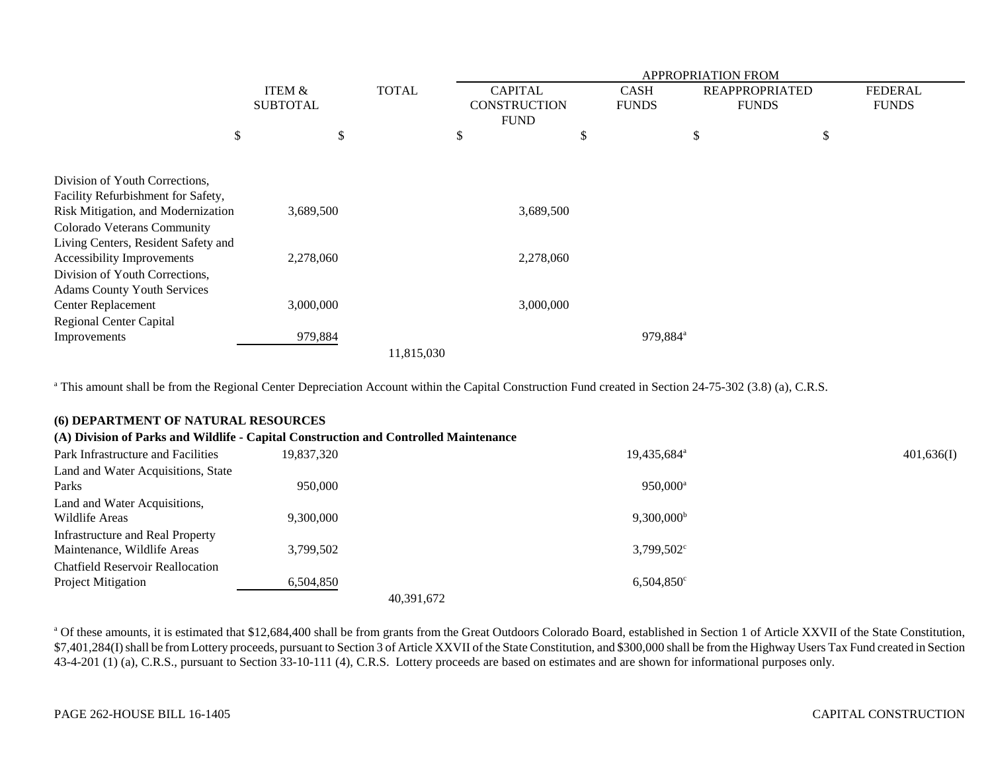|                                                                          |                                      |              | <b>APPROPRIATION FROM</b>             |                             |                      |                                       |                                |  |  |
|--------------------------------------------------------------------------|--------------------------------------|--------------|---------------------------------------|-----------------------------|----------------------|---------------------------------------|--------------------------------|--|--|
|                                                                          | <b>ITEM &amp;</b><br><b>SUBTOTAL</b> | <b>TOTAL</b> | <b>CAPITAL</b><br><b>CONSTRUCTION</b> | <b>CASH</b><br><b>FUNDS</b> |                      | <b>REAPPROPRIATED</b><br><b>FUNDS</b> | <b>FEDERAL</b><br><b>FUNDS</b> |  |  |
|                                                                          |                                      |              | <b>FUND</b>                           |                             |                      |                                       |                                |  |  |
| \$                                                                       |                                      | \$           | \$                                    | \$                          | \$                   |                                       | \$                             |  |  |
| Division of Youth Corrections,                                           |                                      |              |                                       |                             |                      |                                       |                                |  |  |
| Facility Refurbishment for Safety,<br>Risk Mitigation, and Modernization | 3,689,500                            |              | 3,689,500                             |                             |                      |                                       |                                |  |  |
| Colorado Veterans Community<br>Living Centers, Resident Safety and       |                                      |              |                                       |                             |                      |                                       |                                |  |  |
| Accessibility Improvements                                               | 2,278,060                            |              | 2,278,060                             |                             |                      |                                       |                                |  |  |
| Division of Youth Corrections,<br><b>Adams County Youth Services</b>     |                                      |              |                                       |                             |                      |                                       |                                |  |  |
| <b>Center Replacement</b>                                                | 3,000,000                            |              | 3,000,000                             |                             |                      |                                       |                                |  |  |
| <b>Regional Center Capital</b>                                           |                                      |              |                                       |                             |                      |                                       |                                |  |  |
| Improvements                                                             | 979,884                              |              |                                       |                             | 979,884 <sup>a</sup> |                                       |                                |  |  |
|                                                                          |                                      | 11,815,030   |                                       |                             |                      |                                       |                                |  |  |

<sup>a</sup> This amount shall be from the Regional Center Depreciation Account within the Capital Construction Fund created in Section 24-75-302 (3.8) (a), C.R.S.

## **(6) DEPARTMENT OF NATURAL RESOURCES**

| (A) Division of Parks and Wildlife - Capital Construction and Controlled Maintenance |            |                         |            |
|--------------------------------------------------------------------------------------|------------|-------------------------|------------|
| Park Infrastructure and Facilities                                                   | 19.837.320 | 19,435,684 <sup>a</sup> | 401,636(I) |
| Land and Water Acquisitions, State                                                   |            |                         |            |
| Parks                                                                                | 950,000    | 950,000 <sup>a</sup>    |            |
| Land and Water Acquisitions,                                                         |            |                         |            |
| Wildlife Areas                                                                       | 9.300.000  | $9,300,000^{\rm b}$     |            |
| Infrastructure and Real Property                                                     |            |                         |            |
| Maintenance, Wildlife Areas                                                          | 3,799,502  | $3,799,502^{\circ}$     |            |
| <b>Chatfield Reservoir Reallocation</b>                                              |            |                         |            |
| <b>Project Mitigation</b>                                                            | 6,504,850  | $6,504,850^{\circ}$     |            |
|                                                                                      |            | 40,391,672              |            |

<sup>a</sup> Of these amounts, it is estimated that \$12,684,400 shall be from grants from the Great Outdoors Colorado Board, established in Section 1 of Article XXVII of the State Constitution, \$7,401,284(I) shall be from Lottery proceeds, pursuant to Section 3 of Article XXVII of the State Constitution, and \$300,000 shall be from the Highway Users Tax Fund created in Section 43-4-201 (1) (a), C.R.S., pursuant to Section 33-10-111 (4), C.R.S. Lottery proceeds are based on estimates and are shown for informational purposes only.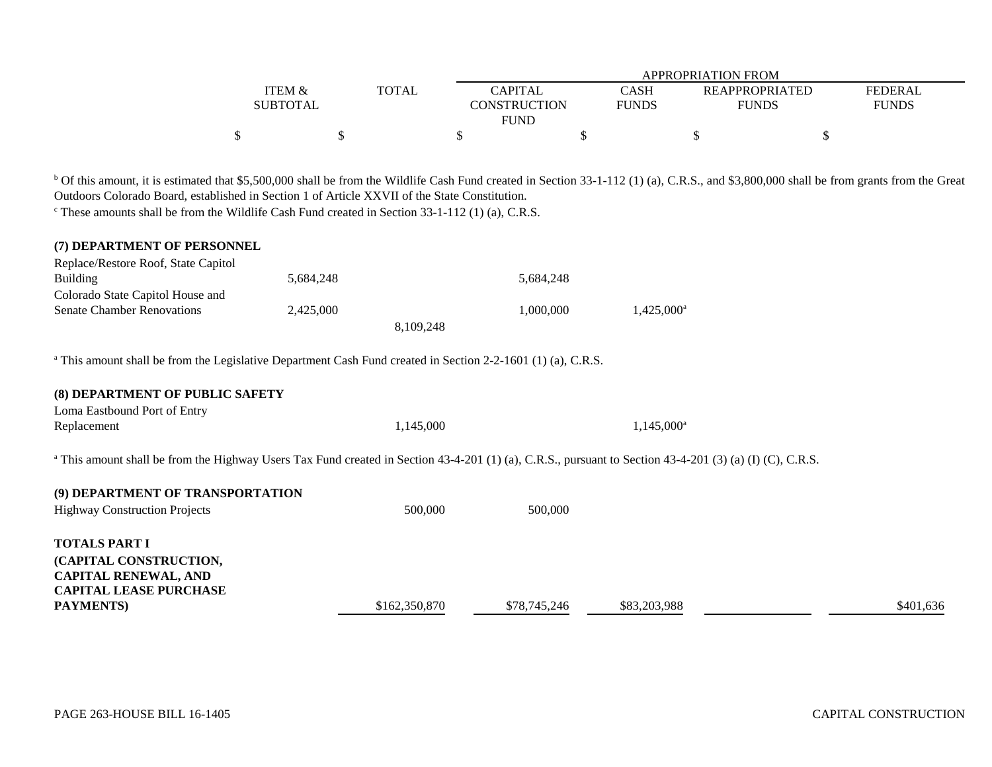|                                                                                                                                                                                                     |                   |               | <b>APPROPRIATION FROM</b> |               |    |                       |                |  |  |  |
|-----------------------------------------------------------------------------------------------------------------------------------------------------------------------------------------------------|-------------------|---------------|---------------------------|---------------|----|-----------------------|----------------|--|--|--|
|                                                                                                                                                                                                     | <b>ITEM &amp;</b> | <b>TOTAL</b>  | <b>CAPITAL</b>            | <b>CASH</b>   |    | <b>REAPPROPRIATED</b> | <b>FEDERAL</b> |  |  |  |
|                                                                                                                                                                                                     | <b>SUBTOTAL</b>   |               | <b>CONSTRUCTION</b>       | <b>FUNDS</b>  |    | <b>FUNDS</b>          | <b>FUNDS</b>   |  |  |  |
|                                                                                                                                                                                                     |                   |               | <b>FUND</b>               |               |    |                       |                |  |  |  |
|                                                                                                                                                                                                     | \$                | \$            | \$                        | \$            | \$ | \$                    |                |  |  |  |
|                                                                                                                                                                                                     |                   |               |                           |               |    |                       |                |  |  |  |
| <sup>b</sup> Of this amount, it is estimated that \$5,500,000 shall be from the Wildlife Cash Fund created in Section 33-1-112 (1) (a), C.R.S., and \$3,800,000 shall be from grants from the Great |                   |               |                           |               |    |                       |                |  |  |  |
| Outdoors Colorado Board, established in Section 1 of Article XXVII of the State Constitution.                                                                                                       |                   |               |                           |               |    |                       |                |  |  |  |
| $\textdegree$ These amounts shall be from the Wildlife Cash Fund created in Section 33-1-112 (1) (a), C.R.S.                                                                                        |                   |               |                           |               |    |                       |                |  |  |  |
|                                                                                                                                                                                                     |                   |               |                           |               |    |                       |                |  |  |  |
| (7) DEPARTMENT OF PERSONNEL                                                                                                                                                                         |                   |               |                           |               |    |                       |                |  |  |  |
| Replace/Restore Roof, State Capitol                                                                                                                                                                 |                   |               |                           |               |    |                       |                |  |  |  |
| <b>Building</b>                                                                                                                                                                                     | 5,684,248         |               | 5,684,248                 |               |    |                       |                |  |  |  |
| Colorado State Capitol House and                                                                                                                                                                    |                   |               |                           |               |    |                       |                |  |  |  |
| <b>Senate Chamber Renovations</b>                                                                                                                                                                   | 2,425,000         |               | 1,000,000                 | $1,425,000^a$ |    |                       |                |  |  |  |
|                                                                                                                                                                                                     |                   | 8,109,248     |                           |               |    |                       |                |  |  |  |
|                                                                                                                                                                                                     |                   |               |                           |               |    |                       |                |  |  |  |
| <sup>a</sup> This amount shall be from the Legislative Department Cash Fund created in Section 2-2-1601 (1) (a), C.R.S.                                                                             |                   |               |                           |               |    |                       |                |  |  |  |
|                                                                                                                                                                                                     |                   |               |                           |               |    |                       |                |  |  |  |
| (8) DEPARTMENT OF PUBLIC SAFETY                                                                                                                                                                     |                   |               |                           |               |    |                       |                |  |  |  |
| Loma Eastbound Port of Entry                                                                                                                                                                        |                   |               |                           |               |    |                       |                |  |  |  |
| Replacement                                                                                                                                                                                         |                   | 1,145,000     |                           | $1,145,000^a$ |    |                       |                |  |  |  |
|                                                                                                                                                                                                     |                   |               |                           |               |    |                       |                |  |  |  |
| <sup>a</sup> This amount shall be from the Highway Users Tax Fund created in Section 43-4-201 (1) (a), C.R.S., pursuant to Section 43-4-201 (3) (a) (I) (C), C.R.S.                                 |                   |               |                           |               |    |                       |                |  |  |  |
| (9) DEPARTMENT OF TRANSPORTATION                                                                                                                                                                    |                   |               |                           |               |    |                       |                |  |  |  |
| <b>Highway Construction Projects</b>                                                                                                                                                                |                   | 500,000       | 500,000                   |               |    |                       |                |  |  |  |
|                                                                                                                                                                                                     |                   |               |                           |               |    |                       |                |  |  |  |
| <b>TOTALS PART I</b>                                                                                                                                                                                |                   |               |                           |               |    |                       |                |  |  |  |
| (CAPITAL CONSTRUCTION,                                                                                                                                                                              |                   |               |                           |               |    |                       |                |  |  |  |
| <b>CAPITAL RENEWAL, AND</b>                                                                                                                                                                         |                   |               |                           |               |    |                       |                |  |  |  |
| <b>CAPITAL LEASE PURCHASE</b>                                                                                                                                                                       |                   |               |                           |               |    |                       |                |  |  |  |
| PAYMENTS)                                                                                                                                                                                           |                   | \$162,350,870 | \$78,745,246              | \$83,203,988  |    |                       | \$401,636      |  |  |  |
|                                                                                                                                                                                                     |                   |               |                           |               |    |                       |                |  |  |  |
|                                                                                                                                                                                                     |                   |               |                           |               |    |                       |                |  |  |  |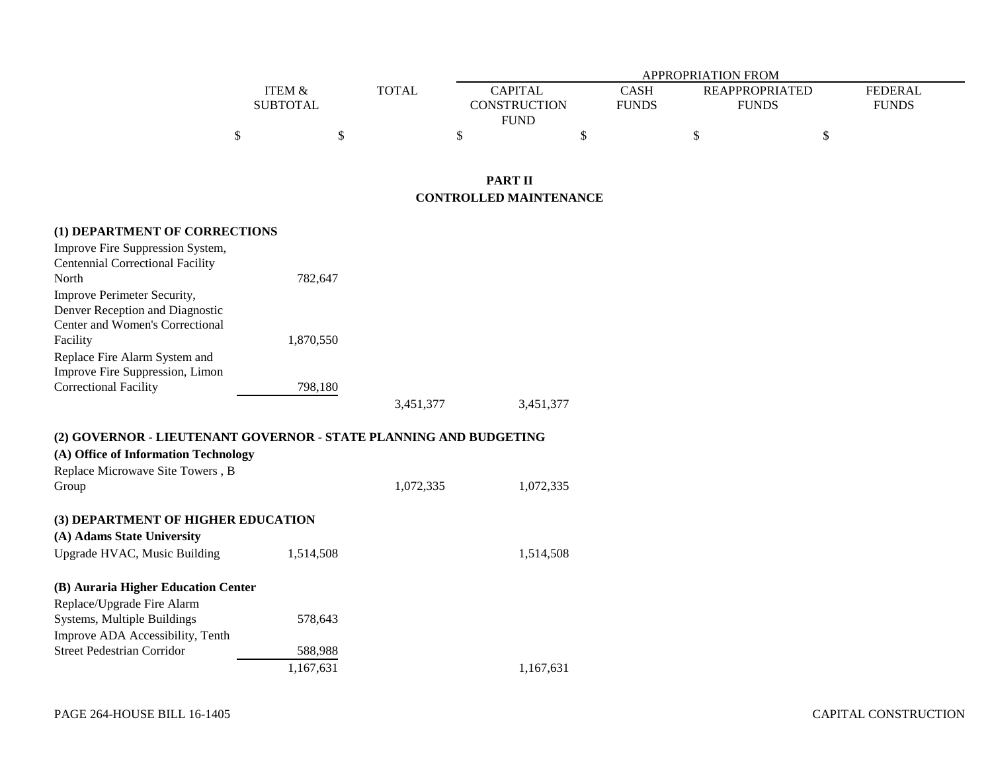|          |              | APPROPRIATION FROM |              |                       |         |  |  |  |  |
|----------|--------------|--------------------|--------------|-----------------------|---------|--|--|--|--|
| ITEM &   | <b>TOTAL</b> | <b>CAPITAL</b>     | CASH         | <b>REAPPROPRIATED</b> | FEDERAL |  |  |  |  |
| SUBTOTAL |              | CONSTRUCTION       | <b>FUNDS</b> | <b>FUNDS</b>          | FUNDS   |  |  |  |  |
|          |              | FUND               |              |                       |         |  |  |  |  |
|          |              |                    |              |                       |         |  |  |  |  |

## **PART IICONTROLLED MAINTENANCE**

## **(1) DEPARTMENT OF CORRECTIONS**

| Improve Fire Suppression System,        |           |           |           |
|-----------------------------------------|-----------|-----------|-----------|
| <b>Centennial Correctional Facility</b> |           |           |           |
| North                                   | 782,647   |           |           |
| Improve Perimeter Security,             |           |           |           |
| Denver Reception and Diagnostic         |           |           |           |
| Center and Women's Correctional         |           |           |           |
| Facility                                | 1,870,550 |           |           |
| Replace Fire Alarm System and           |           |           |           |
| Improve Fire Suppression, Limon         |           |           |           |
| Correctional Facility                   | 798,180   |           |           |
|                                         |           | 3,451,377 | 3,451,377 |

## **(2) GOVERNOR - LIEUTENANT GOVERNOR - STATE PLANNING AND BUDGETING (A) Office of Information Technology** Replace Microwave Site Towers , B Group 1,072,335 1,072,335 **(3) DEPARTMENT OF HIGHER EDUCATION (A) Adams State University** Upgrade HVAC, Music Building 1,514,508 1,514,508 **(B) Auraria Higher Education Center**

| Replace/Upgrade Fire Alarm        |           |           |
|-----------------------------------|-----------|-----------|
| Systems, Multiple Buildings       | 578.643   |           |
| Improve ADA Accessibility, Tenth  |           |           |
| <b>Street Pedestrian Corridor</b> | 588,988   |           |
|                                   | 1.167.631 | 1,167,631 |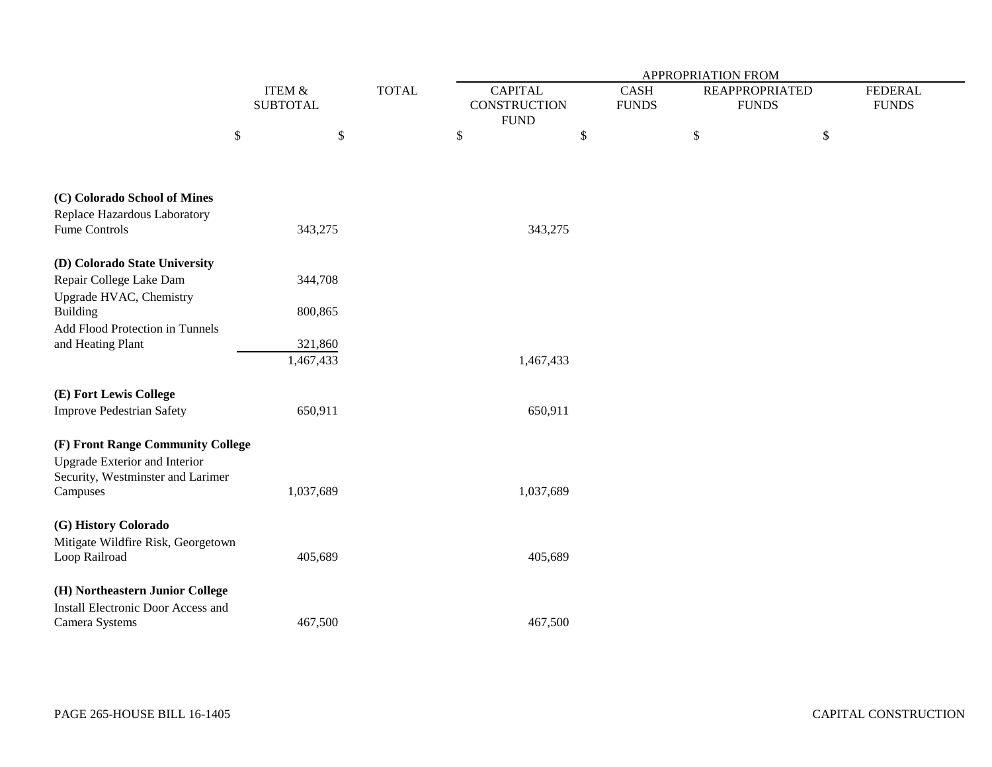|                                                                               |                                      |              | APPROPRIATION FROM |                                                      |  |                                       |  |                                |  |  |
|-------------------------------------------------------------------------------|--------------------------------------|--------------|--------------------|------------------------------------------------------|--|---------------------------------------|--|--------------------------------|--|--|
|                                                                               | <b>ITEM &amp;</b><br><b>SUBTOTAL</b> | <b>TOTAL</b> |                    | <b>CAPITAL</b><br><b>CONSTRUCTION</b><br><b>FUND</b> |  | <b>REAPPROPRIATED</b><br><b>FUNDS</b> |  | <b>FEDERAL</b><br><b>FUNDS</b> |  |  |
|                                                                               | \$<br>$\$\,$                         |              | \$                 | $\$\,$                                               |  | $\$$<br>\$                            |  |                                |  |  |
| (C) Colorado School of Mines<br>Replace Hazardous Laboratory<br>Fume Controls | 343,275                              |              |                    | 343,275                                              |  |                                       |  |                                |  |  |
|                                                                               |                                      |              |                    |                                                      |  |                                       |  |                                |  |  |
| (D) Colorado State University                                                 |                                      |              |                    |                                                      |  |                                       |  |                                |  |  |
| Repair College Lake Dam                                                       | 344,708                              |              |                    |                                                      |  |                                       |  |                                |  |  |
| Upgrade HVAC, Chemistry<br><b>Building</b>                                    | 800,865                              |              |                    |                                                      |  |                                       |  |                                |  |  |
| Add Flood Protection in Tunnels                                               |                                      |              |                    |                                                      |  |                                       |  |                                |  |  |
| and Heating Plant                                                             | 321,860                              |              |                    |                                                      |  |                                       |  |                                |  |  |
|                                                                               | 1,467,433                            |              |                    | 1,467,433                                            |  |                                       |  |                                |  |  |
| (E) Fort Lewis College                                                        |                                      |              |                    |                                                      |  |                                       |  |                                |  |  |
| <b>Improve Pedestrian Safety</b>                                              | 650,911                              |              |                    | 650,911                                              |  |                                       |  |                                |  |  |
| (F) Front Range Community College                                             |                                      |              |                    |                                                      |  |                                       |  |                                |  |  |
| <b>Upgrade Exterior and Interior</b><br>Security, Westminster and Larimer     |                                      |              |                    |                                                      |  |                                       |  |                                |  |  |
| Campuses                                                                      | 1,037,689                            |              |                    | 1,037,689                                            |  |                                       |  |                                |  |  |
| (G) History Colorado                                                          |                                      |              |                    |                                                      |  |                                       |  |                                |  |  |
| Mitigate Wildfire Risk, Georgetown<br>Loop Railroad                           | 405,689                              |              |                    | 405,689                                              |  |                                       |  |                                |  |  |
| (H) Northeastern Junior College                                               |                                      |              |                    |                                                      |  |                                       |  |                                |  |  |
| <b>Install Electronic Door Access and</b><br>Camera Systems                   | 467,500                              |              |                    | 467,500                                              |  |                                       |  |                                |  |  |
|                                                                               |                                      |              |                    |                                                      |  |                                       |  |                                |  |  |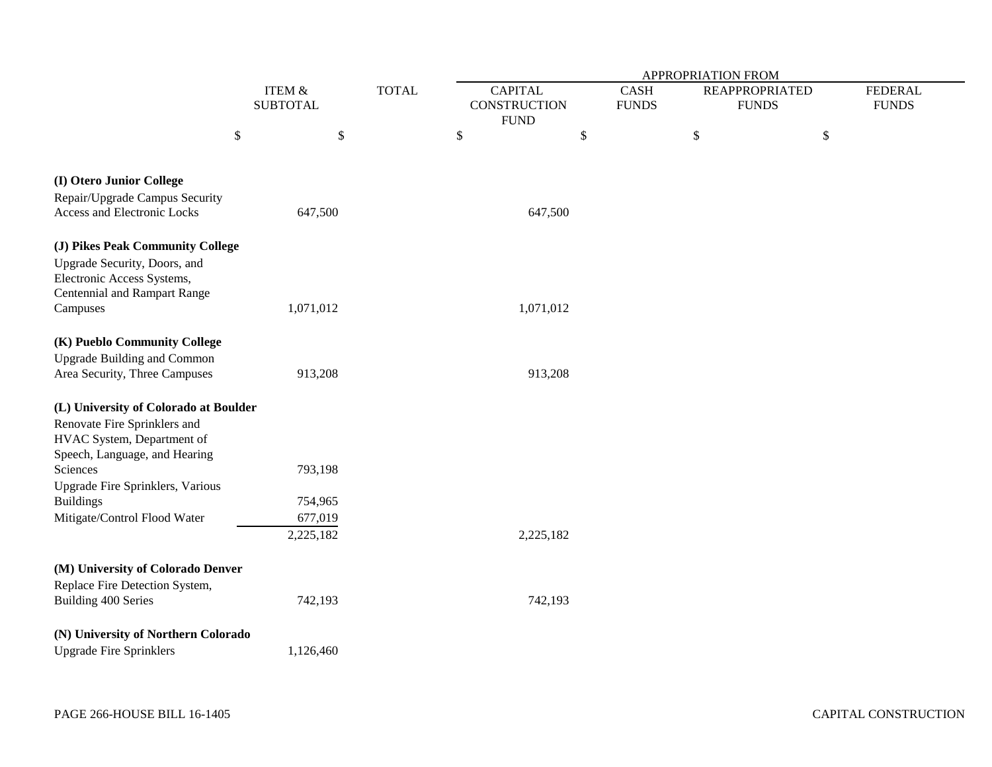|                                       |    |                                           |  | <b>APPROPRIATION FROM</b> |                |             |                              |                       |                |  |  |
|---------------------------------------|----|-------------------------------------------|--|---------------------------|----------------|-------------|------------------------------|-----------------------|----------------|--|--|
|                                       |    | ITEM &<br><b>TOTAL</b><br><b>SUBTOTAL</b> |  |                           | <b>CAPITAL</b> | <b>CASH</b> |                              | <b>REAPPROPRIATED</b> | <b>FEDERAL</b> |  |  |
|                                       |    |                                           |  | <b>CONSTRUCTION</b>       |                |             | <b>FUNDS</b><br><b>FUNDS</b> |                       | <b>FUNDS</b>   |  |  |
|                                       |    |                                           |  |                           | <b>FUND</b>    |             |                              |                       |                |  |  |
|                                       | \$ | \$                                        |  | \$                        | \$             |             | \$                           | \$                    |                |  |  |
|                                       |    |                                           |  |                           |                |             |                              |                       |                |  |  |
| (I) Otero Junior College              |    |                                           |  |                           |                |             |                              |                       |                |  |  |
| Repair/Upgrade Campus Security        |    |                                           |  |                           |                |             |                              |                       |                |  |  |
| Access and Electronic Locks           |    | 647,500                                   |  |                           | 647,500        |             |                              |                       |                |  |  |
| (J) Pikes Peak Community College      |    |                                           |  |                           |                |             |                              |                       |                |  |  |
| Upgrade Security, Doors, and          |    |                                           |  |                           |                |             |                              |                       |                |  |  |
| Electronic Access Systems,            |    |                                           |  |                           |                |             |                              |                       |                |  |  |
| <b>Centennial and Rampart Range</b>   |    |                                           |  |                           |                |             |                              |                       |                |  |  |
| Campuses                              |    | 1,071,012                                 |  |                           | 1,071,012      |             |                              |                       |                |  |  |
| (K) Pueblo Community College          |    |                                           |  |                           |                |             |                              |                       |                |  |  |
| <b>Upgrade Building and Common</b>    |    |                                           |  |                           |                |             |                              |                       |                |  |  |
| Area Security, Three Campuses         |    | 913,208                                   |  |                           | 913,208        |             |                              |                       |                |  |  |
| (L) University of Colorado at Boulder |    |                                           |  |                           |                |             |                              |                       |                |  |  |
| Renovate Fire Sprinklers and          |    |                                           |  |                           |                |             |                              |                       |                |  |  |
| HVAC System, Department of            |    |                                           |  |                           |                |             |                              |                       |                |  |  |
| Speech, Language, and Hearing         |    |                                           |  |                           |                |             |                              |                       |                |  |  |
| Sciences                              |    | 793,198                                   |  |                           |                |             |                              |                       |                |  |  |
| Upgrade Fire Sprinklers, Various      |    |                                           |  |                           |                |             |                              |                       |                |  |  |
| <b>Buildings</b>                      |    | 754,965                                   |  |                           |                |             |                              |                       |                |  |  |
| Mitigate/Control Flood Water          |    | 677,019                                   |  |                           |                |             |                              |                       |                |  |  |
|                                       |    | 2,225,182                                 |  |                           | 2,225,182      |             |                              |                       |                |  |  |
| (M) University of Colorado Denver     |    |                                           |  |                           |                |             |                              |                       |                |  |  |
| Replace Fire Detection System,        |    |                                           |  |                           |                |             |                              |                       |                |  |  |
| Building 400 Series                   |    | 742,193                                   |  |                           | 742,193        |             |                              |                       |                |  |  |
| (N) University of Northern Colorado   |    |                                           |  |                           |                |             |                              |                       |                |  |  |
| <b>Upgrade Fire Sprinklers</b>        |    | 1,126,460                                 |  |                           |                |             |                              |                       |                |  |  |
|                                       |    |                                           |  |                           |                |             |                              |                       |                |  |  |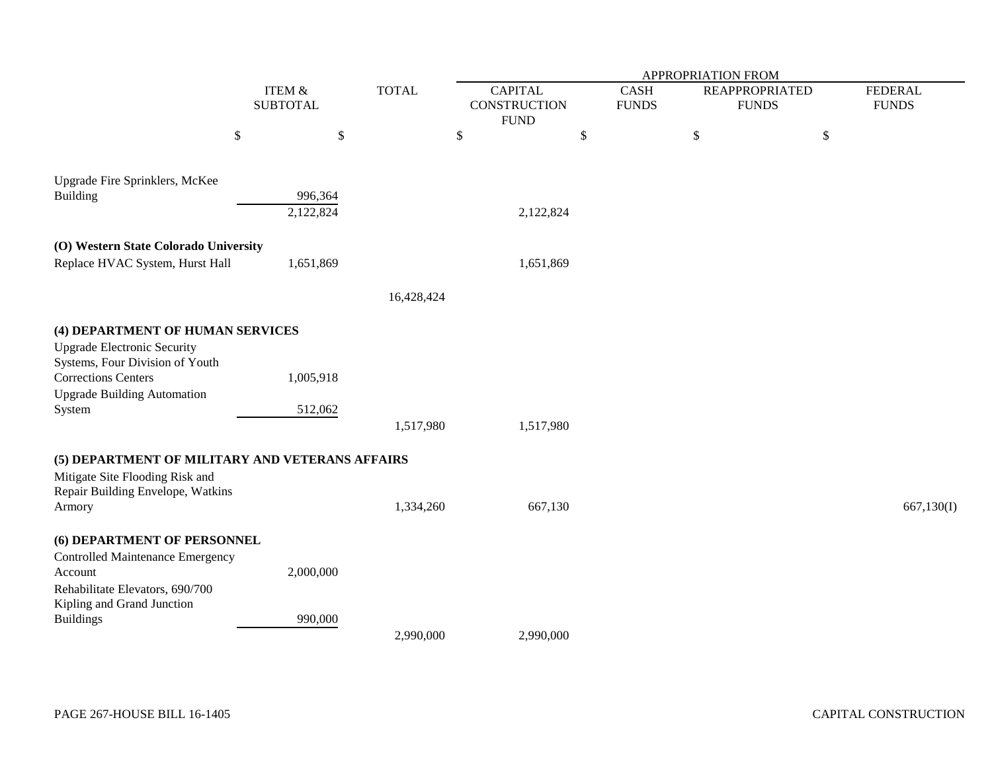|                                                 |        |                 |              |                     | APPROPRIATION FROM |                                      |              |              |                |  |  |
|-------------------------------------------------|--------|-----------------|--------------|---------------------|--------------------|--------------------------------------|--------------|--------------|----------------|--|--|
|                                                 | ITEM & |                 | <b>TOTAL</b> | <b>CAPITAL</b>      |                    | <b>CASH</b><br><b>REAPPROPRIATED</b> |              |              | <b>FEDERAL</b> |  |  |
|                                                 |        | <b>SUBTOTAL</b> |              | <b>CONSTRUCTION</b> |                    | <b>FUNDS</b>                         |              | <b>FUNDS</b> | <b>FUNDS</b>   |  |  |
|                                                 |        |                 |              | <b>FUND</b>         |                    |                                      |              |              |                |  |  |
|                                                 | \$     | \$              |              | \$                  | \$                 |                                      | $\mathbb{S}$ | \$           |                |  |  |
| Upgrade Fire Sprinklers, McKee                  |        |                 |              |                     |                    |                                      |              |              |                |  |  |
| <b>Building</b>                                 |        | 996,364         |              |                     |                    |                                      |              |              |                |  |  |
|                                                 |        | 2,122,824       |              |                     | 2,122,824          |                                      |              |              |                |  |  |
|                                                 |        |                 |              |                     |                    |                                      |              |              |                |  |  |
| (O) Western State Colorado University           |        |                 |              |                     |                    |                                      |              |              |                |  |  |
| Replace HVAC System, Hurst Hall                 |        | 1,651,869       |              |                     | 1,651,869          |                                      |              |              |                |  |  |
|                                                 |        |                 | 16,428,424   |                     |                    |                                      |              |              |                |  |  |
| (4) DEPARTMENT OF HUMAN SERVICES                |        |                 |              |                     |                    |                                      |              |              |                |  |  |
| <b>Upgrade Electronic Security</b>              |        |                 |              |                     |                    |                                      |              |              |                |  |  |
| Systems, Four Division of Youth                 |        |                 |              |                     |                    |                                      |              |              |                |  |  |
| <b>Corrections Centers</b>                      |        | 1,005,918       |              |                     |                    |                                      |              |              |                |  |  |
| <b>Upgrade Building Automation</b>              |        |                 |              |                     |                    |                                      |              |              |                |  |  |
| System                                          |        | 512,062         |              |                     |                    |                                      |              |              |                |  |  |
|                                                 |        |                 | 1,517,980    |                     | 1,517,980          |                                      |              |              |                |  |  |
| (5) DEPARTMENT OF MILITARY AND VETERANS AFFAIRS |        |                 |              |                     |                    |                                      |              |              |                |  |  |
| Mitigate Site Flooding Risk and                 |        |                 |              |                     |                    |                                      |              |              |                |  |  |
| Repair Building Envelope, Watkins               |        |                 |              |                     |                    |                                      |              |              |                |  |  |
| Armory                                          |        |                 | 1,334,260    |                     | 667,130            |                                      |              |              | 667,130(I)     |  |  |
| (6) DEPARTMENT OF PERSONNEL                     |        |                 |              |                     |                    |                                      |              |              |                |  |  |
| <b>Controlled Maintenance Emergency</b>         |        |                 |              |                     |                    |                                      |              |              |                |  |  |
| Account                                         |        | 2,000,000       |              |                     |                    |                                      |              |              |                |  |  |
| Rehabilitate Elevators, 690/700                 |        |                 |              |                     |                    |                                      |              |              |                |  |  |
| Kipling and Grand Junction                      |        |                 |              |                     |                    |                                      |              |              |                |  |  |
| <b>Buildings</b>                                |        | 990,000         |              |                     |                    |                                      |              |              |                |  |  |
|                                                 |        |                 | 2,990,000    |                     | 2,990,000          |                                      |              |              |                |  |  |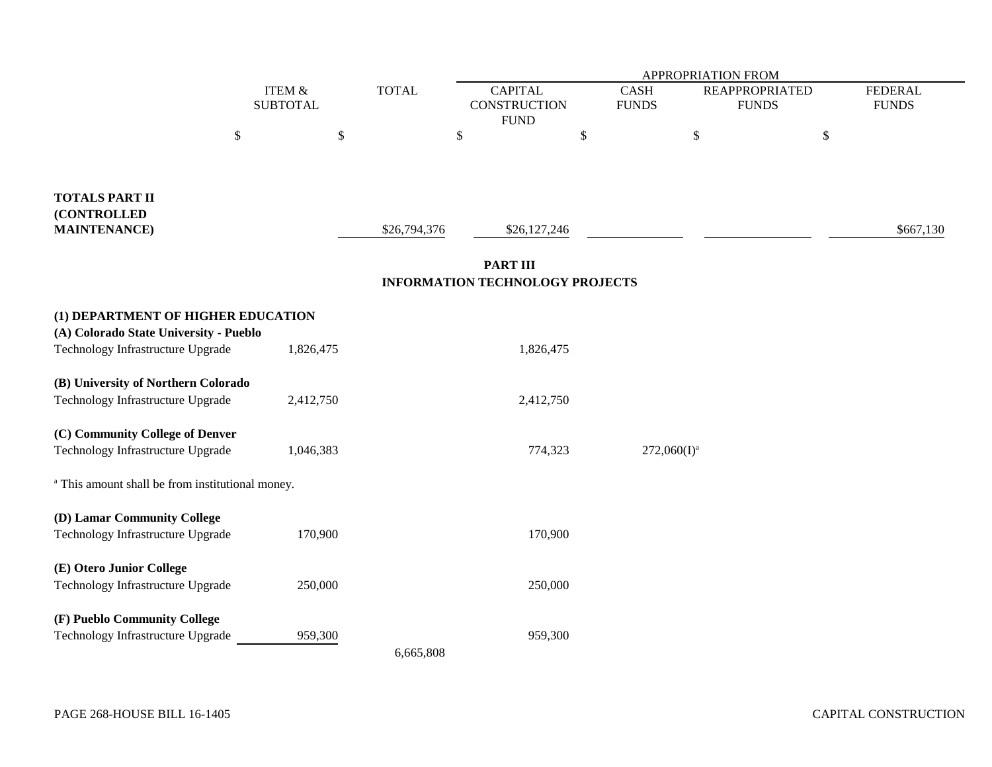|                                                                             |        |                                           |              | APPROPRIATION FROM                                        |    |                                                                      |  |                                |  |  |
|-----------------------------------------------------------------------------|--------|-------------------------------------------|--------------|-----------------------------------------------------------|----|----------------------------------------------------------------------|--|--------------------------------|--|--|
|                                                                             |        | ITEM &<br><b>TOTAL</b><br><b>SUBTOTAL</b> |              | <b>CAPITAL</b><br><b>CONSTRUCTION</b><br><b>FUND</b>      |    | <b>CASH</b><br><b>REAPPROPRIATED</b><br><b>FUNDS</b><br><b>FUNDS</b> |  | <b>FEDERAL</b><br><b>FUNDS</b> |  |  |
|                                                                             | $\$\,$ | \$                                        |              | \$                                                        | \$ | \$                                                                   |  | $\$$                           |  |  |
| <b>TOTALS PART II</b><br>(CONTROLLED<br><b>MAINTENANCE</b> )                |        |                                           | \$26,794,376 | \$26,127,246                                              |    |                                                                      |  | \$667,130                      |  |  |
|                                                                             |        |                                           |              | <b>PART III</b><br><b>INFORMATION TECHNOLOGY PROJECTS</b> |    |                                                                      |  |                                |  |  |
| (1) DEPARTMENT OF HIGHER EDUCATION                                          |        |                                           |              |                                                           |    |                                                                      |  |                                |  |  |
| (A) Colorado State University - Pueblo<br>Technology Infrastructure Upgrade |        | 1,826,475                                 |              | 1,826,475                                                 |    |                                                                      |  |                                |  |  |
| (B) University of Northern Colorado                                         |        |                                           |              |                                                           |    |                                                                      |  |                                |  |  |
| Technology Infrastructure Upgrade                                           |        | 2,412,750                                 |              | 2,412,750                                                 |    |                                                                      |  |                                |  |  |
| (C) Community College of Denver<br>Technology Infrastructure Upgrade        |        | 1,046,383                                 |              | 774,323                                                   |    | $272,060(I)^a$                                                       |  |                                |  |  |
| <sup>a</sup> This amount shall be from institutional money.                 |        |                                           |              |                                                           |    |                                                                      |  |                                |  |  |
| (D) Lamar Community College                                                 |        |                                           |              |                                                           |    |                                                                      |  |                                |  |  |
| Technology Infrastructure Upgrade                                           |        | 170,900                                   |              | 170,900                                                   |    |                                                                      |  |                                |  |  |
| (E) Otero Junior College<br>Technology Infrastructure Upgrade               |        | 250,000                                   |              | 250,000                                                   |    |                                                                      |  |                                |  |  |
|                                                                             |        |                                           |              |                                                           |    |                                                                      |  |                                |  |  |
| (F) Pueblo Community College                                                |        |                                           |              |                                                           |    |                                                                      |  |                                |  |  |
| Technology Infrastructure Upgrade                                           |        | 959,300                                   | 6,665,808    | 959,300                                                   |    |                                                                      |  |                                |  |  |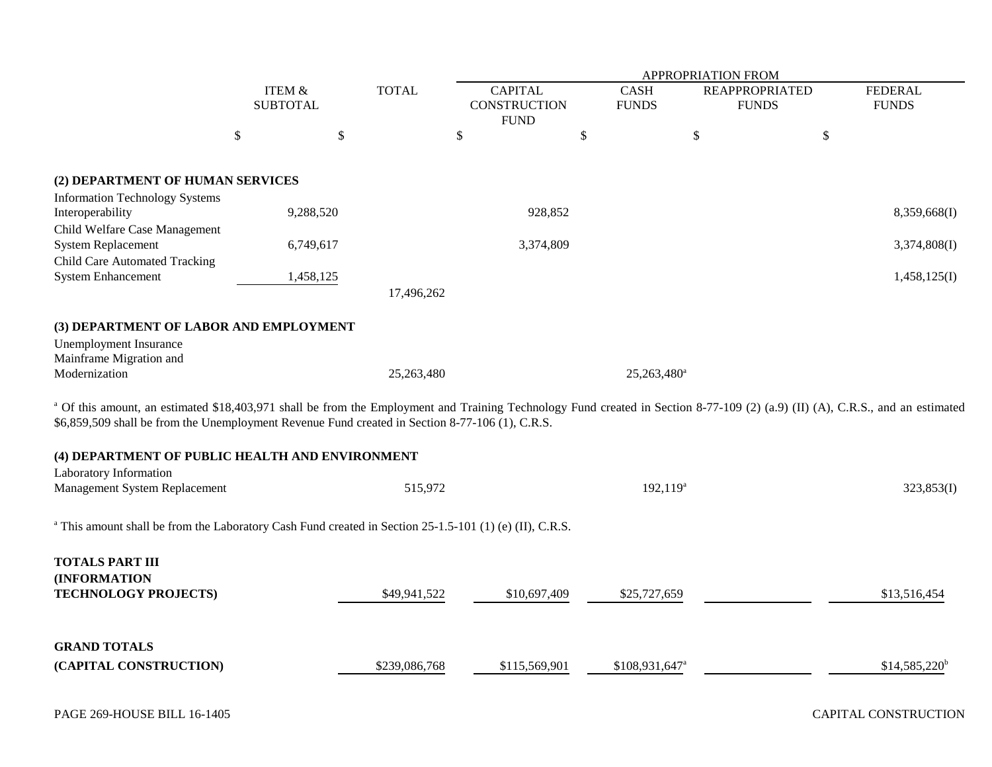|                                                                                                                                                                                                                                                                                                                                                                                                                     |                           |           |               | <b>APPROPRIATION FROM</b>                            |                             |             |                                       |                                |  |
|---------------------------------------------------------------------------------------------------------------------------------------------------------------------------------------------------------------------------------------------------------------------------------------------------------------------------------------------------------------------------------------------------------------------|---------------------------|-----------|---------------|------------------------------------------------------|-----------------------------|-------------|---------------------------------------|--------------------------------|--|
|                                                                                                                                                                                                                                                                                                                                                                                                                     | ITEM &<br><b>SUBTOTAL</b> |           | <b>TOTAL</b>  | <b>CAPITAL</b><br><b>CONSTRUCTION</b><br><b>FUND</b> | <b>CASH</b><br><b>FUNDS</b> |             | <b>REAPPROPRIATED</b><br><b>FUNDS</b> | <b>FEDERAL</b><br><b>FUNDS</b> |  |
|                                                                                                                                                                                                                                                                                                                                                                                                                     | \$                        | \$        |               | \$                                                   | \$                          | \$          | \$                                    |                                |  |
| (2) DEPARTMENT OF HUMAN SERVICES<br><b>Information Technology Systems</b>                                                                                                                                                                                                                                                                                                                                           |                           |           |               |                                                      |                             |             |                                       |                                |  |
| Interoperability                                                                                                                                                                                                                                                                                                                                                                                                    |                           | 9,288,520 |               | 928,852                                              |                             |             |                                       | 8,359,668(I)                   |  |
| Child Welfare Case Management<br><b>System Replacement</b><br><b>Child Care Automated Tracking</b><br><b>System Enhancement</b>                                                                                                                                                                                                                                                                                     |                           | 6,749,617 |               | 3,374,809                                            |                             |             |                                       | 3,374,808(I)                   |  |
|                                                                                                                                                                                                                                                                                                                                                                                                                     |                           | 1,458,125 | 17,496,262    |                                                      |                             |             |                                       | 1,458,125(I)                   |  |
| (3) DEPARTMENT OF LABOR AND EMPLOYMENT<br><b>Unemployment Insurance</b><br>Mainframe Migration and<br>Modernization<br><sup>a</sup> Of this amount, an estimated \$18,403,971 shall be from the Employment and Training Technology Fund created in Section 8-77-109 (2) (a.9) (II) (A), C.R.S., and an estimated<br>\$6,859,509 shall be from the Unemployment Revenue Fund created in Section 8-77-106 (1), C.R.S. |                           |           | 25,263,480    |                                                      | $25,263,480$ <sup>a</sup>   |             |                                       |                                |  |
| (4) DEPARTMENT OF PUBLIC HEALTH AND ENVIRONMENT                                                                                                                                                                                                                                                                                                                                                                     |                           |           |               |                                                      |                             |             |                                       |                                |  |
| Laboratory Information<br>Management System Replacement                                                                                                                                                                                                                                                                                                                                                             |                           |           | 515,972       |                                                      |                             | $192,119^a$ |                                       | 323,853(I)                     |  |
| <sup>a</sup> This amount shall be from the Laboratory Cash Fund created in Section 25-1.5-101 (1) (e) (II), C.R.S.                                                                                                                                                                                                                                                                                                  |                           |           |               |                                                      |                             |             |                                       |                                |  |
| <b>TOTALS PART III</b><br>(INFORMATION<br>TECHNOLOGY PROJECTS)                                                                                                                                                                                                                                                                                                                                                      |                           |           | \$49,941,522  | \$10,697,409                                         | \$25,727,659                |             |                                       | \$13,516,454                   |  |
| <b>GRAND TOTALS</b><br>(CAPITAL CONSTRUCTION)                                                                                                                                                                                                                                                                                                                                                                       |                           |           | \$239,086,768 | \$115,569,901                                        | \$108,931,647 <sup>a</sup>  |             |                                       | $$14,585,220^b$                |  |